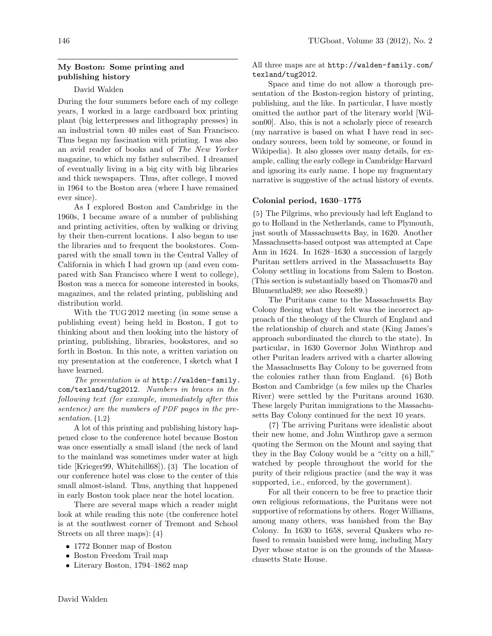## My Boston: Some printing and publishing history

### David Walden

During the four summers before each of my college years, I worked in a large cardboard box printing plant (big letterpresses and lithography presses) in an industrial town 40 miles east of San Francisco. Thus began my fascination with printing. I was also an avid reader of books and of The New Yorker magazine, to which my father subscribed. I dreamed of eventually living in a big city with big libraries and thick newspapers. Thus, after college, I moved in 1964 to the Boston area (where I have remained ever since).

As I explored Boston and Cambridge in the 1960s, I became aware of a number of publishing and printing activities, often by walking or driving by their then-current locations. I also began to use the libraries and to frequent the bookstores. Compared with the small town in the Central Valley of California in which I had grown up (and even compared with San Francisco where I went to college), Boston was a mecca for someone interested in books, magazines, and the related printing, publishing and distribution world.

With the TUG 2012 meeting (in some sense a publishing event) being held in Boston, I got to thinking about and then looking into the history of printing, publishing, libraries, bookstores, and so forth in Boston. In this note, a written variation on my presentation at the conference, I sketch what I have learned.

The presentation is at http://walden-family. com/texland/tug2012. Numbers in braces in the following text (for example, immediately after this sentence) are the numbers of PDF pages in the presentation. {1,2}

A lot of this printing and publishing history happened close to the conference hotel because Boston was once essentially a small island (the neck of land to the mainland was sometimes under water at high tide [Krieger99, Whitehill68]). {3} The location of our conference hotel was close to the center of this small almost-island. Thus, anything that happened in early Boston took place near the hotel location.

There are several maps which a reader might look at while reading this note (the conference hotel is at the southwest corner of Tremont and School Streets on all three maps): {4}

- 1772 Bonner map of Boston
- Boston Freedom Trail map
- Literary Boston, 1794–1862 map

All three maps are at http://walden-family.com/ texland/tug2012.

Space and time do not allow a thorough presentation of the Boston-region history of printing, publishing, and the like. In particular, I have mostly omitted the author part of the literary world [Wilson00]. Also, this is not a scholarly piece of research (my narrative is based on what I have read in secondary sources, been told by someone, or found in Wikipedia). It also glosses over many details, for example, calling the early college in Cambridge Harvard and ignoring its early name. I hope my fragmentary narrative is suggestive of the actual history of events.

#### Colonial period, 1630–1775

{5} The Pilgrims, who previously had left England to go to Holland in the Netherlands, came to Plymouth, just south of Massachusetts Bay, in 1620. Another Massachusetts-based outpost was attempted at Cape Ann in 1624. In 1628–1630 a succession of largely Puritan settlers arrived in the Massachusetts Bay Colony settling in locations from Salem to Boston. (This section is substantially based on Thomas70 and Blumenthal89; see also Reese89.)

The Puritans came to the Massachusetts Bay Colony fleeing what they felt was the incorrect approach of the theology of the Church of England and the relationship of church and state (King James's approach subordinated the church to the state). In particular, in 1630 Governor John Winthrop and other Puritan leaders arrived with a charter allowing the Massachusetts Bay Colony to be governed from the colonies rather than from England. {6} Both Boston and Cambridge (a few miles up the Charles River) were settled by the Puritans around 1630. These largely Puritan immigrations to the Massachusetts Bay Colony continued for the next 10 years.

{7} The arriving Puritans were idealistic about their new home, and John Winthrop gave a sermon quoting the Sermon on the Mount and saying that they in the Bay Colony would be a "citty on a hill," watched by people throughout the world for the purity of their religious practice (and the way it was supported, i.e., enforced, by the government).

For all their concern to be free to practice their own religious reformations, the Puritans were not supportive of reformations by others. Roger Williams, among many others, was banished from the Bay Colony. In 1630 to 1658, several Quakers who refused to remain banished were hung, including Mary Dyer whose statue is on the grounds of the Massachusetts State House.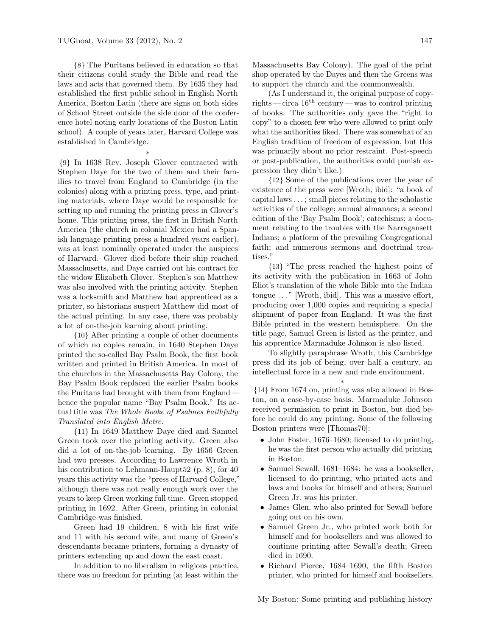{8} The Puritans believed in education so that their citizens could study the Bible and read the laws and acts that governed them. By 1635 they had established the first public school in English North America, Boston Latin (there are signs on both sides of School Street outside the side door of the conference hotel noting early locations of the Boston Latin school). A couple of years later, Harvard College was established in Cambridge.

\*

{9} In 1638 Rev. Joseph Glover contracted with Stephen Daye for the two of them and their families to travel from England to Cambridge (in the colonies) along with a printing press, type, and printing materials, where Daye would be responsible for setting up and running the printing press in Glover's home. This printing press, the first in British North America (the church in colonial Mexico had a Spanish language printing press a hundred years earlier), was at least nominally operated under the auspices of Harvard. Glover died before their ship reached Massachusetts, and Daye carried out his contract for the widow Elizabeth Glover. Stephen's son Matthew was also involved with the printing activity. Stephen was a locksmith and Matthew had apprenticed as a printer, so historians suspect Matthew did most of the actual printing. In any case, there was probably a lot of on-the-job learning about printing.

{10} After printing a couple of other documents of which no copies remain, in 1640 Stephen Daye printed the so-called Bay Psalm Book, the first book written and printed in British America. In most of the churches in the Massachusetts Bay Colony, the Bay Psalm Book replaced the earlier Psalm books the Puritans had brought with them from England hence the popular name "Bay Psalm Book." Its actual title was The Whole Booke of Psalmes Faithfully Translated into English Metre.

{11} In 1649 Matthew Daye died and Samuel Green took over the printing activity. Green also did a lot of on-the-job learning. By 1656 Green had two presses. According to Lawrence Wroth in his contribution to Lehmann-Haupt52 (p. 8), for 40 years this activity was the "press of Harvard College," although there was not really enough work over the years to keep Green working full time. Green stopped printing in 1692. After Green, printing in colonial Cambridge was finished.

Green had 19 children, 8 with his first wife and 11 with his second wife, and many of Green's descendants became printers, forming a dynasty of printers extending up and down the east coast.

In addition to no liberalism in religious practice, there was no freedom for printing (at least within the

Massachusetts Bay Colony). The goal of the print shop operated by the Dayes and then the Greens was to support the church and the commonwealth.

(As I understand it, the original purpose of copyrights — circa  $16<sup>th</sup>$  century — was to control printing of books. The authorities only gave the "right to copy" to a chosen few who were allowed to print only what the authorities liked. There was somewhat of an English tradition of freedom of expression, but this was primarily about no prior restraint. Post-speech or post-publication, the authorities could punish expression they didn't like.)

{12} Some of the publications over the year of existence of the press were [Wroth, ibid]: "a book of capital laws . . . ; small pieces relating to the scholastic activities of the college; annual almanacs; a second edition of the 'Bay Psalm Book'; catechisms; a document relating to the troubles with the Narragansett Indians; a platform of the prevailing Congregational faith; and numerous sermons and doctrinal treatises."

{13} "The press reached the highest point of its activity with the publication in 1663 of John Eliot's translation of the whole Bible into the Indian tongue . . . " [Wroth, ibid]. This was a massive effort, producing over 1,000 copies and requiring a special shipment of paper from England. It was the first Bible printed in the western hemisphere. On the title page, Samuel Green is listed as the printer, and his apprentice Marmaduke Johnson is also listed.

To slightly paraphrase Wroth, this Cambridge press did its job of being, over half a century, an intellectual force in a new and rude environment.

\* {14} From 1674 on, printing was also allowed in Boston, on a case-by-case basis. Marmaduke Johnson received permission to print in Boston, but died before he could do any printing. Some of the following Boston printers were [Thomas70]:

- John Foster, 1676–1680; licensed to do printing, he was the first person who actually did printing in Boston.
- Samuel Sewall, 1681–1684: he was a bookseller, licensed to do printing, who printed acts and laws and books for himself and others; Samuel Green Jr. was his printer.
- James Glen, who also printed for Sewall before going out on his own.
- Samuel Green Jr., who printed work both for himself and for booksellers and was allowed to continue printing after Sewall's death; Green died in 1690.
- Richard Pierce, 1684–1690, the fifth Boston printer, who printed for himself and booksellers.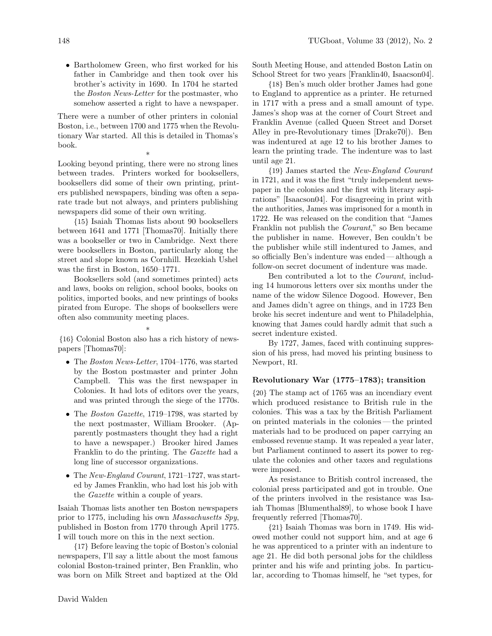• Bartholomew Green, who first worked for his father in Cambridge and then took over his brother's activity in 1690. In 1704 he started the Boston News-Letter for the postmaster, who somehow asserted a right to have a newspaper.

There were a number of other printers in colonial Boston, i.e., between 1700 and 1775 when the Revolutionary War started. All this is detailed in Thomas's book.

\* Looking beyond printing, there were no strong lines between trades. Printers worked for booksellers, booksellers did some of their own printing, printers published newspapers, binding was often a separate trade but not always, and printers publishing newspapers did some of their own writing.

{15} Isaiah Thomas lists about 90 booksellers between 1641 and 1771 [Thomas70]. Initially there was a bookseller or two in Cambridge. Next there were booksellers in Boston, particularly along the street and slope known as Cornhill. Hezekiah Ushel was the first in Boston, 1650–1771.

Booksellers sold (and sometimes printed) acts and laws, books on religion, school books, books on politics, imported books, and new printings of books pirated from Europe. The shops of booksellers were often also community meeting places.

\* {16} Colonial Boston also has a rich history of newspapers [Thomas70]:

- The Boston News-Letter, 1704–1776, was started by the Boston postmaster and printer John Campbell. This was the first newspaper in Colonies. It had lots of editors over the years, and was printed through the siege of the 1770s.
- The Boston Gazette, 1719–1798, was started by the next postmaster, William Brooker. (Apparently postmasters thought they had a right to have a newspaper.) Brooker hired James Franklin to do the printing. The Gazette had a long line of successor organizations.
- The New-England Courant, 1721–1727, was started by James Franklin, who had lost his job with the Gazette within a couple of years.

Isaiah Thomas lists another ten Boston newspapers prior to 1775, including his own Massachusetts Spy, published in Boston from 1770 through April 1775. I will touch more on this in the next section.

{17} Before leaving the topic of Boston's colonial newspapers, I'll say a little about the most famous colonial Boston-trained printer, Ben Franklin, who was born on Milk Street and baptized at the Old South Meeting House, and attended Boston Latin on School Street for two years [Franklin40, Isaacson04].

{18} Ben's much older brother James had gone to England to apprentice as a printer. He returned in 1717 with a press and a small amount of type. James's shop was at the corner of Court Street and Franklin Avenue (called Queen Street and Dorset Alley in pre-Revolutionary times [Drake70]). Ben was indentured at age 12 to his brother James to learn the printing trade. The indenture was to last until age 21.

{19} James started the New-England Courant in 1721, and it was the first "truly independent newspaper in the colonies and the first with literary aspirations" [Isaacson04]. For disagreeing in print with the authorities, James was imprisoned for a month in 1722. He was released on the condition that "James Franklin not publish the Courant," so Ben became the publisher in name. However, Ben couldn't be the publisher while still indentured to James, and so officially Ben's indenture was ended — although a follow-on secret document of indenture was made.

Ben contributed a lot to the Courant, including 14 humorous letters over six months under the name of the widow Silence Dogood. However, Ben and James didn't agree on things, and in 1723 Ben broke his secret indenture and went to Philadelphia, knowing that James could hardly admit that such a secret indenture existed.

By 1727, James, faced with continuing suppression of his press, had moved his printing business to Newport, RI.

## Revolutionary War (1775–1783); transition

{20} The stamp act of 1765 was an incendiary event which produced resistance to British rule in the colonies. This was a tax by the British Parliament on printed materials in the colonies— the printed materials had to be produced on paper carrying an embossed revenue stamp. It was repealed a year later, but Parliament continued to assert its power to regulate the colonies and other taxes and regulations were imposed.

As resistance to British control increased, the colonial press participated and got in trouble. One of the printers involved in the resistance was Isaiah Thomas [Blumenthal89], to whose book I have frequently referred [Thomas70].

{21} Isaiah Thomas was born in 1749. His widowed mother could not support him, and at age 6 he was apprenticed to a printer with an indenture to age 21. He did both personal jobs for the childless printer and his wife and printing jobs. In particular, according to Thomas himself, he "set types, for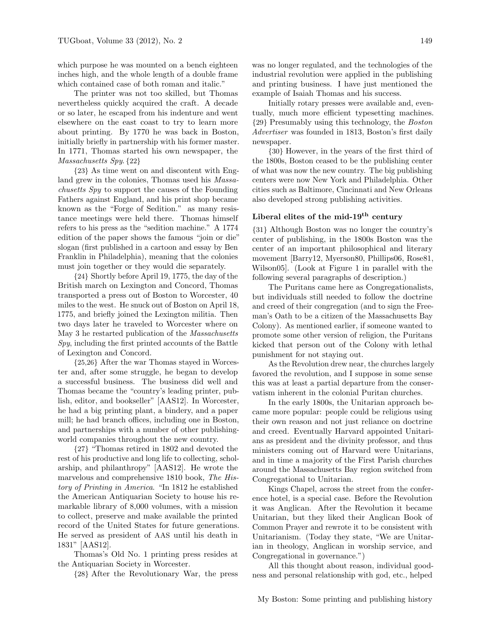which purpose he was mounted on a bench eighteen inches high, and the whole length of a double frame which contained case of both roman and italic."

The printer was not too skilled, but Thomas nevertheless quickly acquired the craft. A decade or so later, he escaped from his indenture and went elsewhere on the east coast to try to learn more about printing. By 1770 he was back in Boston, initially briefly in partnership with his former master. In 1771, Thomas started his own newspaper, the Massachusetts Spy. {22}

{23} As time went on and discontent with England grew in the colonies, Thomas used his Massachusetts Spy to support the causes of the Founding Fathers against England, and his print shop became known as the "Forge of Sedition." as many resistance meetings were held there. Thomas himself refers to his press as the "sedition machine." A 1774 edition of the paper shows the famous "join or die" slogan (first published in a cartoon and essay by Ben Franklin in Philadelphia), meaning that the colonies must join together or they would die separately.

{24} Shortly before April 19, 1775, the day of the British march on Lexington and Concord, Thomas transported a press out of Boston to Worcester, 40 miles to the west. He snuck out of Boston on April 18, 1775, and briefly joined the Lexington militia. Then two days later he traveled to Worcester where on May 3 he restarted publication of the Massachusetts Spy, including the first printed accounts of the Battle of Lexington and Concord.

{25,26} After the war Thomas stayed in Worcester and, after some struggle, he began to develop a successful business. The business did well and Thomas became the "country's leading printer, publish, editor, and bookseller" [AAS12]. In Worcester, he had a big printing plant, a bindery, and a paper mill; he had branch offices, including one in Boston, and partnerships with a number of other publishingworld companies throughout the new country.

{27} "Thomas retired in 1802 and devoted the rest of his productive and long life to collecting, scholarship, and philanthropy" [AAS12]. He wrote the marvelous and comprehensive 1810 book, The History of Printing in America. "In 1812 he established the American Antiquarian Society to house his remarkable library of 8,000 volumes, with a mission to collect, preserve and make available the printed record of the United States for future generations. He served as president of AAS until his death in 1831" [AAS12].

Thomas's Old No. 1 printing press resides at the Antiquarian Society in Worcester.

{28} After the Revolutionary War, the press

was no longer regulated, and the technologies of the industrial revolution were applied in the publishing and printing business. I have just mentioned the example of Isaiah Thomas and his success.

Initially rotary presses were available and, eventually, much more efficient typesetting machines. {29} Presumably using this technology, the Boston Advertiser was founded in 1813, Boston's first daily newspaper.

{30} However, in the years of the first third of the 1800s, Boston ceased to be the publishing center of what was now the new country. The big publishing centers were now New York and Philadelphia. Other cities such as Baltimore, Cincinnati and New Orleans also developed strong publishing activities.

# Liberal elites of the mid- $19<sup>th</sup>$  century

{31} Although Boston was no longer the country's center of publishing, in the 1800s Boston was the center of an important philosophical and literary movement [Barry12, Myerson80, Phillips06, Rose81, Wilson05]. (Look at Figure 1 in parallel with the following several paragraphs of description.)

The Puritans came here as Congregationalists, but individuals still needed to follow the doctrine and creed of their congregation (and to sign the Freeman's Oath to be a citizen of the Massachusetts Bay Colony). As mentioned earlier, if someone wanted to promote some other version of religion, the Puritans kicked that person out of the Colony with lethal punishment for not staying out.

As the Revolution drew near, the churches largely favored the revolution, and I suppose in some sense this was at least a partial departure from the conservatism inherent in the colonial Puritan churches.

In the early 1800s, the Unitarian approach became more popular: people could be religious using their own reason and not just reliance on doctrine and creed. Eventually Harvard appointed Unitarians as president and the divinity professor, and thus ministers coming out of Harvard were Unitarians, and in time a majority of the First Parish churches around the Massachusetts Bay region switched from Congregational to Unitarian.

Kings Chapel, across the street from the conference hotel, is a special case. Before the Revolution it was Anglican. After the Revolution it became Unitarian, but they liked their Anglican Book of Common Prayer and rewrote it to be consistent with Unitarianism. (Today they state, "We are Unitarian in theology, Anglican in worship service, and Congregational in governance.")

All this thought about reason, individual goodness and personal relationship with god, etc., helped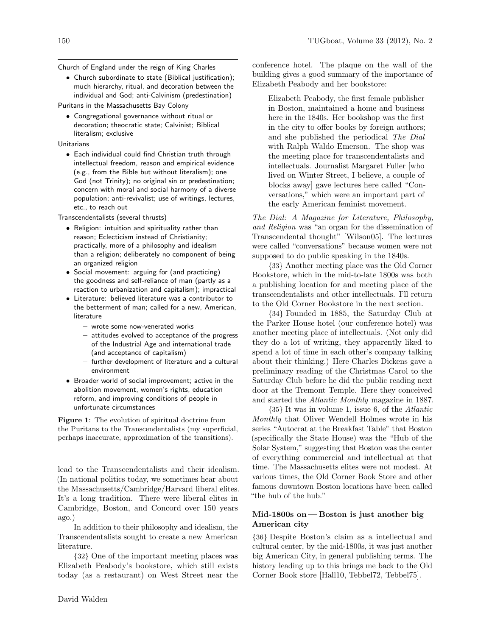Church of England under the reign of King Charles

• Church subordinate to state (Biblical justification); much hierarchy, ritual, and decoration between the individual and God; anti-Calvinism (predestination)

Puritans in the Massachusetts Bay Colony

• Congregational governance without ritual or decoration; theocratic state; Calvinist; Biblical literalism; exclusive

Unitarians

• Each individual could find Christian truth through intellectual freedom, reason and empirical evidence (e.g., from the Bible but without literalism); one God (not Trinity); no original sin or predestination; concern with moral and social harmony of a diverse population; anti-revivalist; use of writings, lectures, etc., to reach out

Transcendentalists (several thrusts)

- Religion: intuition and spirituality rather than reason; Eclecticism instead of Christianity; practically, more of a philosophy and idealism than a religion; deliberately no component of being an organized religion
- Social movement: arguing for (and practicing) the goodness and self-reliance of man (partly as a reaction to urbanization and capitalism); impractical
- Literature: believed literature was a contributor to the betterment of man; called for a new, American, literature
	- wrote some now-venerated works
	- attitudes evolved to acceptance of the progress of the Industrial Age and international trade (and acceptance of capitalism)
	- further development of literature and a cultural environment
- Broader world of social improvement; active in the abolition movement, women's rights, education reform, and improving conditions of people in unfortunate circumstances

Figure 1: The evolution of spiritual doctrine from the Puritans to the Transcendentalists (my superficial, perhaps inaccurate, approximation of the transitions).

lead to the Transcendentalists and their idealism. (In national politics today, we sometimes hear about the Massachusetts/Cambridge/Harvard liberal elites. It's a long tradition. There were liberal elites in Cambridge, Boston, and Concord over 150 years ago.)

In addition to their philosophy and idealism, the Transcendentalists sought to create a new American literature.

{32} One of the important meeting places was Elizabeth Peabody's bookstore, which still exists today (as a restaurant) on West Street near the

conference hotel. The plaque on the wall of the building gives a good summary of the importance of Elizabeth Peabody and her bookstore:

Elizabeth Peabody, the first female publisher in Boston, maintained a home and business here in the 1840s. Her bookshop was the first in the city to offer books by foreign authors; and she published the periodical The Dial with Ralph Waldo Emerson. The shop was the meeting place for transcendentalists and intellectuals. Journalist Margaret Fuller [who lived on Winter Street, I believe, a couple of blocks away] gave lectures here called "Conversations," which were an important part of the early American feminist movement.

The Dial: A Magazine for Literature, Philosophy, and Religion was "an organ for the dissemination of Transcendental thought" [Wilson05]. The lectures were called "conversations" because women were not supposed to do public speaking in the 1840s.

{33} Another meeting place was the Old Corner Bookstore, which in the mid-to-late 1800s was both a publishing location for and meeting place of the transcendentalists and other intellectuals. I'll return to the Old Corner Bookstore in the next section.

{34} Founded in 1885, the Saturday Club at the Parker House hotel (our conference hotel) was another meeting place of intellectuals. (Not only did they do a lot of writing, they apparently liked to spend a lot of time in each other's company talking about their thinking.) Here Charles Dickens gave a preliminary reading of the Christmas Carol to the Saturday Club before he did the public reading next door at the Tremont Temple. Here they conceived and started the Atlantic Monthly magazine in 1887.

{35} It was in volume 1, issue 6, of the Atlantic Monthly that Oliver Wendell Holmes wrote in his series "Autocrat at the Breakfast Table" that Boston (specifically the State House) was the "Hub of the Solar System," suggesting that Boston was the center of everything commercial and intellectual at that time. The Massachusetts elites were not modest. At various times, the Old Corner Book Store and other famous downtown Boston locations have been called "the hub of the hub."

## Mid-1800s on — Boston is just another big American city

{36} Despite Boston's claim as a intellectual and cultural center, by the mid-1800s, it was just another big American City, in general publishing terms. The history leading up to this brings me back to the Old Corner Book store [Hall10, Tebbel72, Tebbel75].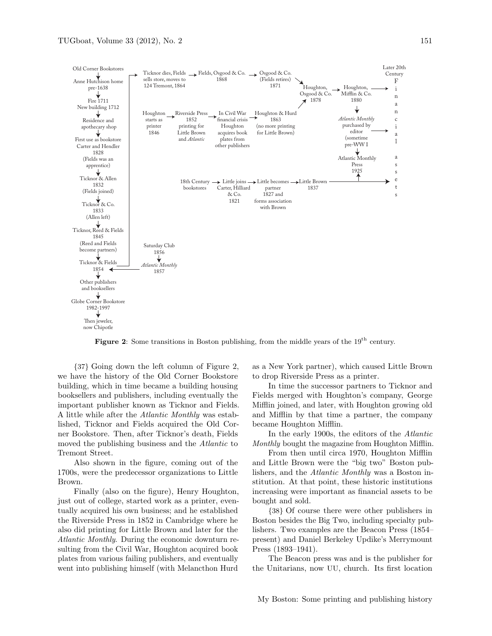

Figure 2: Some transitions in Boston publishing, from the middle years of the 19<sup>th</sup> century.

{37} Going down the left column of Figure 2, we have the history of the Old Corner Bookstore building, which in time became a building housing booksellers and publishers, including eventually the important publisher known as Ticknor and Fields. A little while after the Atlantic Monthly was established, Ticknor and Fields acquired the Old Corner Bookstore. Then, after Ticknor's death, Fields moved the publishing business and the Atlantic to Tremont Street.

Also shown in the figure, coming out of the 1700s, were the predecessor organizations to Little Brown.

Finally (also on the figure), Henry Houghton, just out of college, started work as a printer, eventually acquired his own business; and he established the Riverside Press in 1852 in Cambridge where he also did printing for Little Brown and later for the Atlantic Monthly. During the economic downturn resulting from the Civil War, Houghton acquired book plates from various failing publishers, and eventually went into publishing himself (with Melancthon Hurd

as a New York partner), which caused Little Brown to drop Riverside Press as a printer.

In time the successor partners to Ticknor and Fields merged with Houghton's company, George Mifflin joined, and later, with Houghton growing old and Mifflin by that time a partner, the company became Houghton Mifflin.

In the early 1900s, the editors of the Atlantic Monthly bought the magazine from Houghton Mifflin.

From then until circa 1970, Houghton Mifflin and Little Brown were the "big two" Boston publishers, and the Atlantic Monthly was a Boston institution. At that point, these historic institutions increasing were important as financial assets to be bought and sold.

{38} Of course there were other publishers in Boston besides the Big Two, including specialty publishers. Two examples are the Beacon Press (1854– present) and Daniel Berkeley Updike's Merrymount Press (1893–1941).

The Beacon press was and is the publisher for the Unitarians, now UU, church. Its first location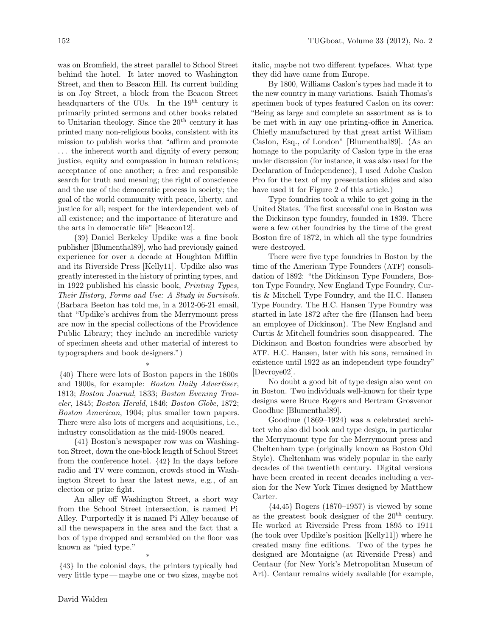was on Bromfield, the street parallel to School Street behind the hotel. It later moved to Washington Street, and then to Beacon Hill. Its current building is on Joy Street, a block from the Beacon Street headquarters of the UUs. In the 19<sup>th</sup> century it primarily printed sermons and other books related to Unitarian theology. Since the  $20<sup>th</sup>$  century it has printed many non-religious books, consistent with its mission to publish works that "affirm and promote . . . the inherent worth and dignity of every person; justice, equity and compassion in human relations; acceptance of one another; a free and responsible search for truth and meaning; the right of conscience and the use of the democratic process in society; the goal of the world community with peace, liberty, and justice for all; respect for the interdependent web of all existence; and the importance of literature and the arts in democratic life" [Beacon12].

{39} Daniel Berkeley Updike was a fine book publisher [Blumenthal89], who had previously gained experience for over a decade at Houghton Mifflin and its Riverside Press [Kelly11]. Updike also was greatly interested in the history of printing types, and in 1922 published his classic book, Printing Types, Their History, Forms and Use: A Study in Survivals. (Barbara Beeton has told me, in a 2012-06-21 email, that "Updike's archives from the Merrymount press are now in the special collections of the Providence Public Library; they include an incredible variety of specimen sheets and other material of interest to typographers and book designers.")

\*

{40} There were lots of Boston papers in the 1800s and 1900s, for example: Boston Daily Advertiser, 1813; Boston Journal, 1833; Boston Evening Traveler, 1845; Boston Herald, 1846; Boston Globe, 1872; Boston American, 1904; plus smaller town papers. There were also lots of mergers and acquisitions, i.e., industry consolidation as the mid-1900s neared.

{41} Boston's newspaper row was on Washington Street, down the one-block length of School Street from the conference hotel. {42} In the days before radio and TV were common, crowds stood in Washington Street to hear the latest news, e.g., of an election or prize fight.

An alley off Washington Street, a short way from the School Street intersection, is named Pi Alley. Purportedly it is named Pi Alley because of all the newspapers in the area and the fact that a box of type dropped and scrambled on the floor was known as "pied type."

\* {43} In the colonial days, the printers typically had very little type — maybe one or two sizes, maybe not italic, maybe not two different typefaces. What type they did have came from Europe.

By 1800, Williams Caslon's types had made it to the new country in many variations. Isaiah Thomas's specimen book of types featured Caslon on its cover: "Being as large and complete an assortment as is to be met with in any one printing-office in America. Chiefly manufactured by that great artist William Caslon, Esq., of London" [Blumenthal89]. (As an homage to the popularity of Caslon type in the eras under discussion (for instance, it was also used for the Declaration of Independence), I used Adobe Caslon Pro for the text of my presentation slides and also have used it for Figure 2 of this article.)

Type foundries took a while to get going in the United States. The first successful one in Boston was the Dickinson type foundry, founded in 1839. There were a few other foundries by the time of the great Boston fire of 1872, in which all the type foundries were destroyed.

There were five type foundries in Boston by the time of the American Type Founders (ATF) consolidation of 1892: "the Dickinson Type Founders, Boston Type Foundry, New England Type Foundry, Curtis & Mitchell Type Foundry, and the H.C. Hansen Type Foundry. The H.C. Hansen Type Foundry was started in late 1872 after the fire (Hansen had been an employee of Dickinson). The New England and Curtis & Mitchell foundries soon disappeared. The Dickinson and Boston foundries were absorbed by ATF. H.C. Hansen, later with his sons, remained in existence until 1922 as an independent type foundry" [Devroye02].

No doubt a good bit of type design also went on in Boston. Two individuals well-known for their type designs were Bruce Rogers and Bertram Grosvenor Goodhue [Blumenthal89].

Goodhue (1869–1924) was a celebrated architect who also did book and type design, in particular the Merrymount type for the Merrymount press and Cheltenham type (originally known as Boston Old Style). Cheltenham was widely popular in the early decades of the twentieth century. Digital versions have been created in recent decades including a version for the New York Times designed by Matthew Carter.

{44,45} Rogers (1870–1957) is viewed by some as the greatest book designer of the  $20<sup>th</sup>$  century. He worked at Riverside Press from 1895 to 1911 (he took over Updike's position [Kelly11]) where he created many fine editions. Two of the types he designed are Montaigne (at Riverside Press) and Centaur (for New York's Metropolitan Museum of Art). Centaur remains widely available (for example,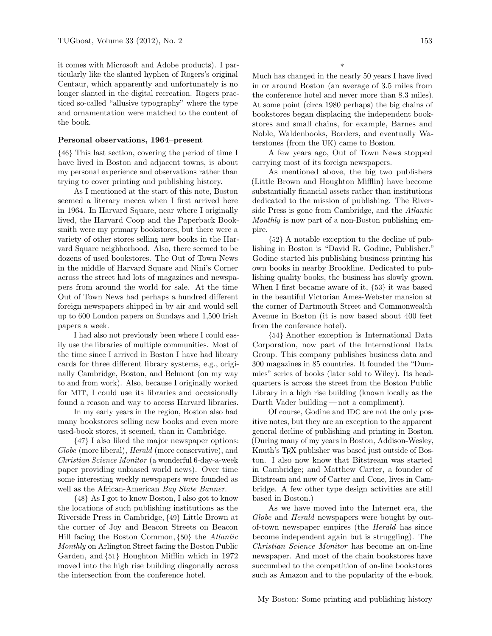it comes with Microsoft and Adobe products). I particularly like the slanted hyphen of Rogers's original Centaur, which apparently and unfortunately is no longer slanted in the digital recreation. Rogers practiced so-called "allusive typography" where the type and ornamentation were matched to the content of the book.

### Personal observations, 1964–present

{46} This last section, covering the period of time I have lived in Boston and adjacent towns, is about my personal experience and observations rather than trying to cover printing and publishing history.

As I mentioned at the start of this note, Boston seemed a literary mecca when I first arrived here in 1964. In Harvard Square, near where I originally lived, the Harvard Coop and the Paperback Booksmith were my primary bookstores, but there were a variety of other stores selling new books in the Harvard Square neighborhood. Also, there seemed to be dozens of used bookstores. The Out of Town News in the middle of Harvard Square and Nini's Corner across the street had lots of magazines and newspapers from around the world for sale. At the time Out of Town News had perhaps a hundred different foreign newspapers shipped in by air and would sell up to 600 London papers on Sundays and 1,500 Irish papers a week.

I had also not previously been where I could easily use the libraries of multiple communities. Most of the time since I arrived in Boston I have had library cards for three different library systems, e.g., originally Cambridge, Boston, and Belmont (on my way to and from work). Also, because I originally worked for MIT, I could use its libraries and occasionally found a reason and way to access Harvard libraries.

In my early years in the region, Boston also had many bookstores selling new books and even more used-book stores, it seemed, than in Cambridge.

{47} I also liked the major newspaper options: Globe (more liberal), *Herald* (more conservative), and Christian Science Monitor (a wonderful 6-day-a-week paper providing unbiased world news). Over time some interesting weekly newspapers were founded as well as the African-American Bay State Banner.

{48} As I got to know Boston, I also got to know the locations of such publishing institutions as the Riverside Press in Cambridge, {49} Little Brown at the corner of Joy and Beacon Streets on Beacon Hill facing the Boston Common, {50} the Atlantic Monthly on Arlington Street facing the Boston Public Garden, and {51} Houghton Mifflin which in 1972 moved into the high rise building diagonally across the intersection from the conference hotel.

Much has changed in the nearly 50 years I have lived in or around Boston (an average of 3.5 miles from the conference hotel and never more than 8.3 miles). At some point (circa 1980 perhaps) the big chains of bookstores began displacing the independent bookstores and small chains, for example, Barnes and Noble, Waldenbooks, Borders, and eventually Waterstones (from the UK) came to Boston.

A few years ago, Out of Town News stopped carrying most of its foreign newspapers.

As mentioned above, the big two publishers (Little Brown and Houghton Mifflin) have become substantially financial assets rather than institutions dedicated to the mission of publishing. The Riverside Press is gone from Cambridge, and the Atlantic Monthly is now part of a non-Boston publishing empire.

{52} A notable exception to the decline of publishing in Boston is "David R. Godine, Publisher." Godine started his publishing business printing his own books in nearby Brookline. Dedicated to publishing quality books, the business has slowly grown. When I first became aware of it, {53} it was based in the beautiful Victorian Ames-Webster mansion at the corner of Dartmouth Street and Commonwealth Avenue in Boston (it is now based about 400 feet from the conference hotel).

{54} Another exception is International Data Corporation, now part of the International Data Group. This company publishes business data and 300 magazines in 85 countries. It founded the "Dummies" series of books (later sold to Wiley). Its headquarters is across the street from the Boston Public Library in a high rise building (known locally as the Darth Vader building — not a compliment).

Of course, Godine and IDC are not the only positive notes, but they are an exception to the apparent general decline of publishing and printing in Boston. (During many of my years in Boston, Addison-Wesley, Knuth's T<sub>F</sub>X publisher was based just outside of Boston. I also now know that Bitstream was started in Cambridge; and Matthew Carter, a founder of Bitstream and now of Carter and Cone, lives in Cambridge. A few other type design activities are still based in Boston.)

As we have moved into the Internet era, the Globe and Herald newspapers were bought by outof-town newspaper empires (the Herald has since become independent again but is struggling). The Christian Science Monitor has become an on-line newspaper. And most of the chain bookstores have succumbed to the competition of on-line bookstores such as Amazon and to the popularity of the e-book.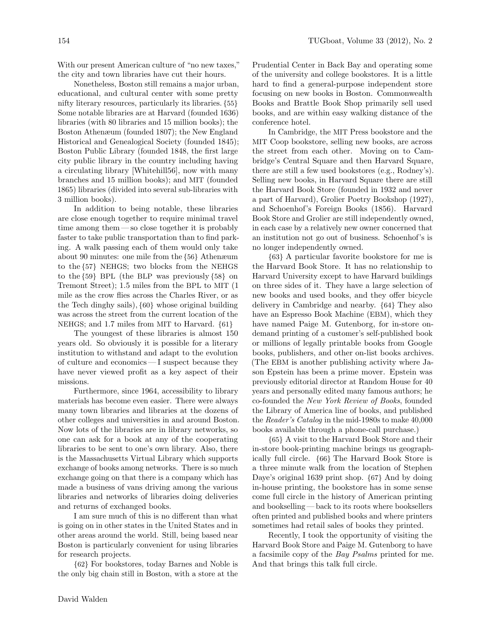With our present American culture of "no new taxes," the city and town libraries have cut their hours.

Nonetheless, Boston still remains a major urban, educational, and cultural center with some pretty nifty literary resources, particularly its libraries. {55} Some notable libraries are at Harvard (founded 1636) libraries (with 80 libraries and 15 million books); the Boston Athenæum (founded 1807); the New England Historical and Genealogical Society (founded 1845); Boston Public Library (founded 1848, the first large city public library in the country including having a circulating library [Whitehill56], now with many branches and 15 million books); and MIT (founded 1865) libraries (divided into several sub-libraries with 3 million books).

In addition to being notable, these libraries are close enough together to require minimal travel time among them — so close together it is probably faster to take public transportation than to find parking. A walk passing each of them would only take about 90 minutes: one mile from the {56} Athenæum to the {57} NEHGS; two blocks from the NEHGS to the {59} BPL (the BLP was previously {58} on Tremont Street); 1.5 miles from the BPL to MIT (1 mile as the crow flies across the Charles River, or as the Tech dinghy sails), {60} whose original building was across the street from the current location of the NEHGS; and 1.7 miles from MIT to Harvard. {61}

The youngest of these libraries is almost 150 years old. So obviously it is possible for a literary institution to withstand and adapt to the evolution of culture and economics— I suspect because they have never viewed profit as a key aspect of their missions.

Furthermore, since 1964, accessibility to library materials has become even easier. There were always many town libraries and libraries at the dozens of other colleges and universities in and around Boston. Now lots of the libraries are in library networks, so one can ask for a book at any of the cooperating libraries to be sent to one's own library. Also, there is the Massachusetts Virtual Library which supports exchange of books among networks. There is so much exchange going on that there is a company which has made a business of vans driving among the various libraries and networks of libraries doing deliveries and returns of exchanged books.

I am sure much of this is no different than what is going on in other states in the United States and in other areas around the world. Still, being based near Boston is particularly convenient for using libraries for research projects.

{62} For bookstores, today Barnes and Noble is the only big chain still in Boston, with a store at the Prudential Center in Back Bay and operating some of the university and college bookstores. It is a little hard to find a general-purpose independent store focusing on new books in Boston. Commonwealth Books and Brattle Book Shop primarily sell used books, and are within easy walking distance of the conference hotel.

In Cambridge, the MIT Press bookstore and the MIT Coop bookstore, selling new books, are across the street from each other. Moving on to Cambridge's Central Square and then Harvard Square, there are still a few used bookstores (e.g., Rodney's). Selling new books, in Harvard Square there are still the Harvard Book Store (founded in 1932 and never a part of Harvard), Grolier Poetry Bookshop (1927), and Schoenhof's Foreign Books (1856). Harvard Book Store and Grolier are still independently owned, in each case by a relatively new owner concerned that an institution not go out of business. Schoenhof's is no longer independently owned.

{63} A particular favorite bookstore for me is the Harvard Book Store. It has no relationship to Harvard University except to have Harvard buildings on three sides of it. They have a large selection of new books and used books, and they offer bicycle delivery in Cambridge and nearby. {64} They also have an Espresso Book Machine (EBM), which they have named Paige M. Gutenborg, for in-store ondemand printing of a customer's self-published book or millions of legally printable books from Google books, publishers, and other on-list books archives. (The EBM is another publishing activity where Jason Epstein has been a prime mover. Epstein was previously editorial director at Random House for 40 years and personally edited many famous authors; he co-founded the New York Review of Books, founded the Library of America line of books, and published the Reader's Catalog in the mid-1980s to make 40,000 books available through a phone-call purchase.)

{65} A visit to the Harvard Book Store and their in-store book-printing machine brings us geographically full circle. {66} The Harvard Book Store is a three minute walk from the location of Stephen Daye's original 1639 print shop. {67} And by doing in-house printing, the bookstore has in some sense come full circle in the history of American printing and bookselling — back to its roots where booksellers often printed and published books and where printers sometimes had retail sales of books they printed.

Recently, I took the opportunity of visiting the Harvard Book Store and Paige M. Gutenborg to have a facsimile copy of the *Bay Psalms* printed for me. And that brings this talk full circle.